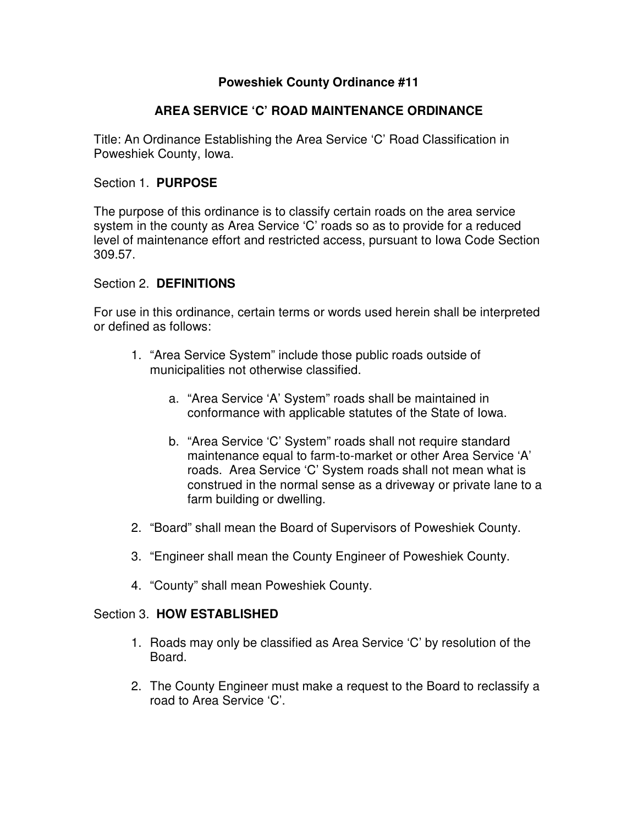## **Poweshiek County Ordinance #11**

# **AREA SERVICE 'C' ROAD MAINTENANCE ORDINANCE**

Title: An Ordinance Establishing the Area Service 'C' Road Classification in Poweshiek County, Iowa.

## Section 1. **PURPOSE**

The purpose of this ordinance is to classify certain roads on the area service system in the county as Area Service 'C' roads so as to provide for a reduced level of maintenance effort and restricted access, pursuant to Iowa Code Section 309.57.

## Section 2. **DEFINITIONS**

For use in this ordinance, certain terms or words used herein shall be interpreted or defined as follows:

- 1. "Area Service System" include those public roads outside of municipalities not otherwise classified.
	- a. "Area Service 'A' System" roads shall be maintained in conformance with applicable statutes of the State of Iowa.
	- b. "Area Service 'C' System" roads shall not require standard maintenance equal to farm-to-market or other Area Service 'A' roads. Area Service 'C' System roads shall not mean what is construed in the normal sense as a driveway or private lane to a farm building or dwelling.
- 2. "Board" shall mean the Board of Supervisors of Poweshiek County.
- 3. "Engineer shall mean the County Engineer of Poweshiek County.
- 4. "County" shall mean Poweshiek County.

#### Section 3. **HOW ESTABLISHED**

- 1. Roads may only be classified as Area Service 'C' by resolution of the Board.
- 2. The County Engineer must make a request to the Board to reclassify a road to Area Service 'C'.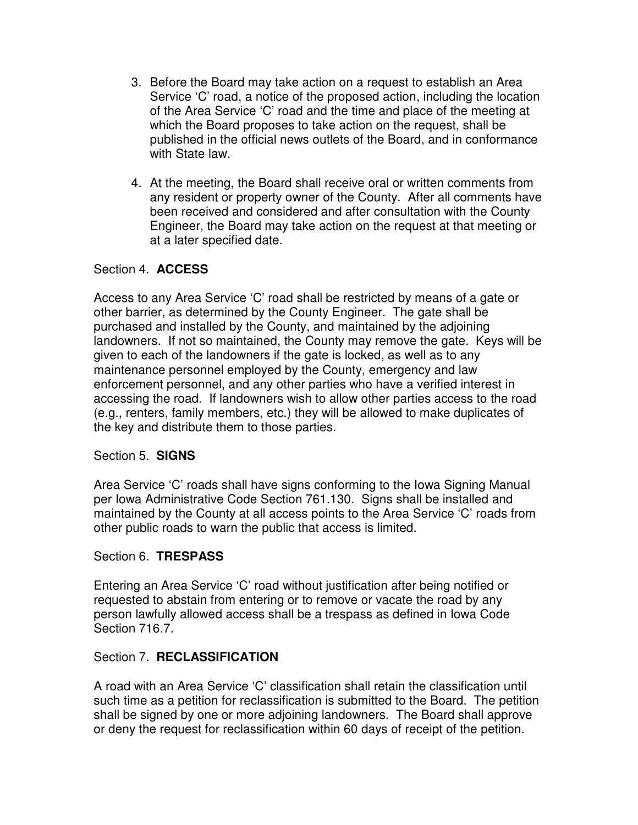- 3. Before the Board may take action on a request to establish an Area Service 'C' road, a notice of the proposed action, including the location of the Area Service 'C' road and the time and place of the meeting at which the Board proposes to take action on the request, shall be published in the official news outlets of the Board, and in conformance with State law.
- 4. At the meeting, the Board shall receive oral or written comments from any resident or property owner of the County. After all comments have been received and considered and after consultation with the County Engineer, the Board may take action on the request at that meeting or at a later specified date.

## Section 4. **ACCESS**

Access to any Area Service 'C' road shall be restricted by means of a gate or other barrier, as determined by the County Engineer. The gate shall be purchased and installed by the County, and maintained by the adjoining landowners. If not so maintained, the County may remove the gate. Keys will be given to each of the landowners if the gate is locked, as well as to any maintenance personnel employed by the County, emergency and law enforcement personnel, and any other parties who have a verified interest in accessing the road. If landowners wish to allow other parties access to the road (e.g., renters, family members, etc.) they will be allowed to make duplicates of the key and distribute them to those parties.

#### Section 5. **SIGNS**

Area Service 'C' roads shall have signs conforming to the Iowa Signing Manual per Iowa Administrative Code Section 761.130. Signs shall be installed and maintained by the County at all access points to the Area Service 'C' roads from other public roads to warn the public that access is limited.

#### Section 6. **TRESPASS**

Entering an Area Service 'C' road without justification after being notified or requested to abstain from entering or to remove or vacate the road by any person lawfully allowed access shall be a trespass as defined in Iowa Code Section 716.7.

#### Section 7. **RECLASSIFICATION**

A road with an Area Service 'C' classification shall retain the classification until such time as a petition for reclassification is submitted to the Board. The petition shall be signed by one or more adjoining landowners. The Board shall approve or deny the request for reclassification within 60 days of receipt of the petition.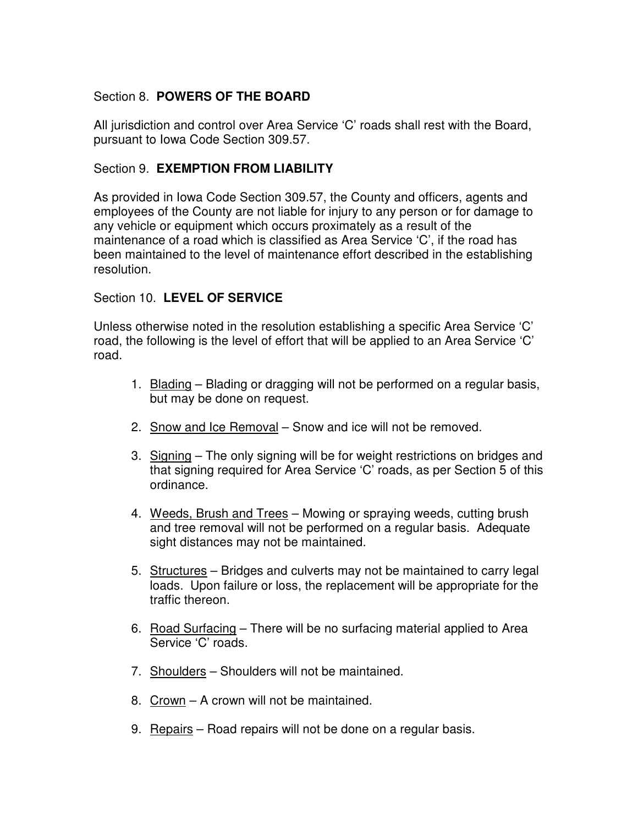# Section 8. **POWERS OF THE BOARD**

All jurisdiction and control over Area Service 'C' roads shall rest with the Board, pursuant to Iowa Code Section 309.57.

## Section 9. **EXEMPTION FROM LIABILITY**

As provided in Iowa Code Section 309.57, the County and officers, agents and employees of the County are not liable for injury to any person or for damage to any vehicle or equipment which occurs proximately as a result of the maintenance of a road which is classified as Area Service 'C', if the road has been maintained to the level of maintenance effort described in the establishing resolution.

## Section 10. **LEVEL OF SERVICE**

Unless otherwise noted in the resolution establishing a specific Area Service 'C' road, the following is the level of effort that will be applied to an Area Service 'C' road.

- 1. Blading Blading or dragging will not be performed on a regular basis, but may be done on request.
- 2. Snow and Ice Removal Snow and ice will not be removed.
- 3. Signing The only signing will be for weight restrictions on bridges and that signing required for Area Service 'C' roads, as per Section 5 of this ordinance.
- 4. Weeds, Brush and Trees Mowing or spraying weeds, cutting brush and tree removal will not be performed on a regular basis. Adequate sight distances may not be maintained.
- 5. Structures Bridges and culverts may not be maintained to carry legal loads. Upon failure or loss, the replacement will be appropriate for the traffic thereon.
- 6. Road Surfacing There will be no surfacing material applied to Area Service 'C' roads.
- 7. Shoulders Shoulders will not be maintained.
- 8. Crown A crown will not be maintained.
- 9. Repairs Road repairs will not be done on a regular basis.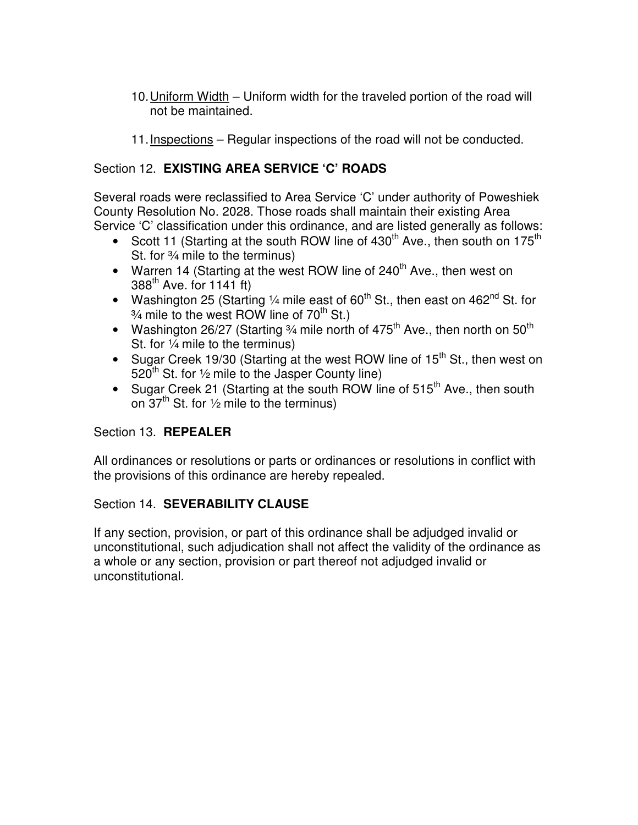- 10. Uniform Width Uniform width for the traveled portion of the road will not be maintained.
- 11. Inspections Regular inspections of the road will not be conducted.

# Section 12. **EXISTING AREA SERVICE 'C' ROADS**

Several roads were reclassified to Area Service 'C' under authority of Poweshiek County Resolution No. 2028. Those roads shall maintain their existing Area Service 'C' classification under this ordinance, and are listed generally as follows:

- Scott 11 (Starting at the south ROW line of  $430<sup>th</sup>$  Ave., then south on  $175<sup>th</sup>$ St. for ¾ mile to the terminus)
- Warren 14 (Starting at the west ROW line of  $240<sup>th</sup>$  Ave., then west on  $388<sup>th</sup>$  Ave. for 1141 ft)
- Washington 25 (Starting  $\frac{1}{4}$  mile east of 60<sup>th</sup> St., then east on 462<sup>nd</sup> St. for  $\frac{3}{4}$  mile to the west ROW line of 70<sup>th</sup> St.)
- Washington 26/27 (Starting  $\frac{3}{4}$  mile north of 475<sup>th</sup> Ave., then north on 50<sup>th</sup> St. for ¼ mile to the terminus)
- Sugar Creek 19/30 (Starting at the west ROW line of  $15<sup>th</sup>$  St., then west on  $520^{th}$  St. for  $\frac{1}{2}$  mile to the Jasper County line)
- Sugar Creek 21 (Starting at the south ROW line of  $515<sup>th</sup>$  Ave., then south on  $37<sup>th</sup>$  St. for  $\frac{1}{2}$  mile to the terminus)

# Section 13. **REPEALER**

All ordinances or resolutions or parts or ordinances or resolutions in conflict with the provisions of this ordinance are hereby repealed.

## Section 14. **SEVERABILITY CLAUSE**

If any section, provision, or part of this ordinance shall be adjudged invalid or unconstitutional, such adjudication shall not affect the validity of the ordinance as a whole or any section, provision or part thereof not adjudged invalid or unconstitutional.